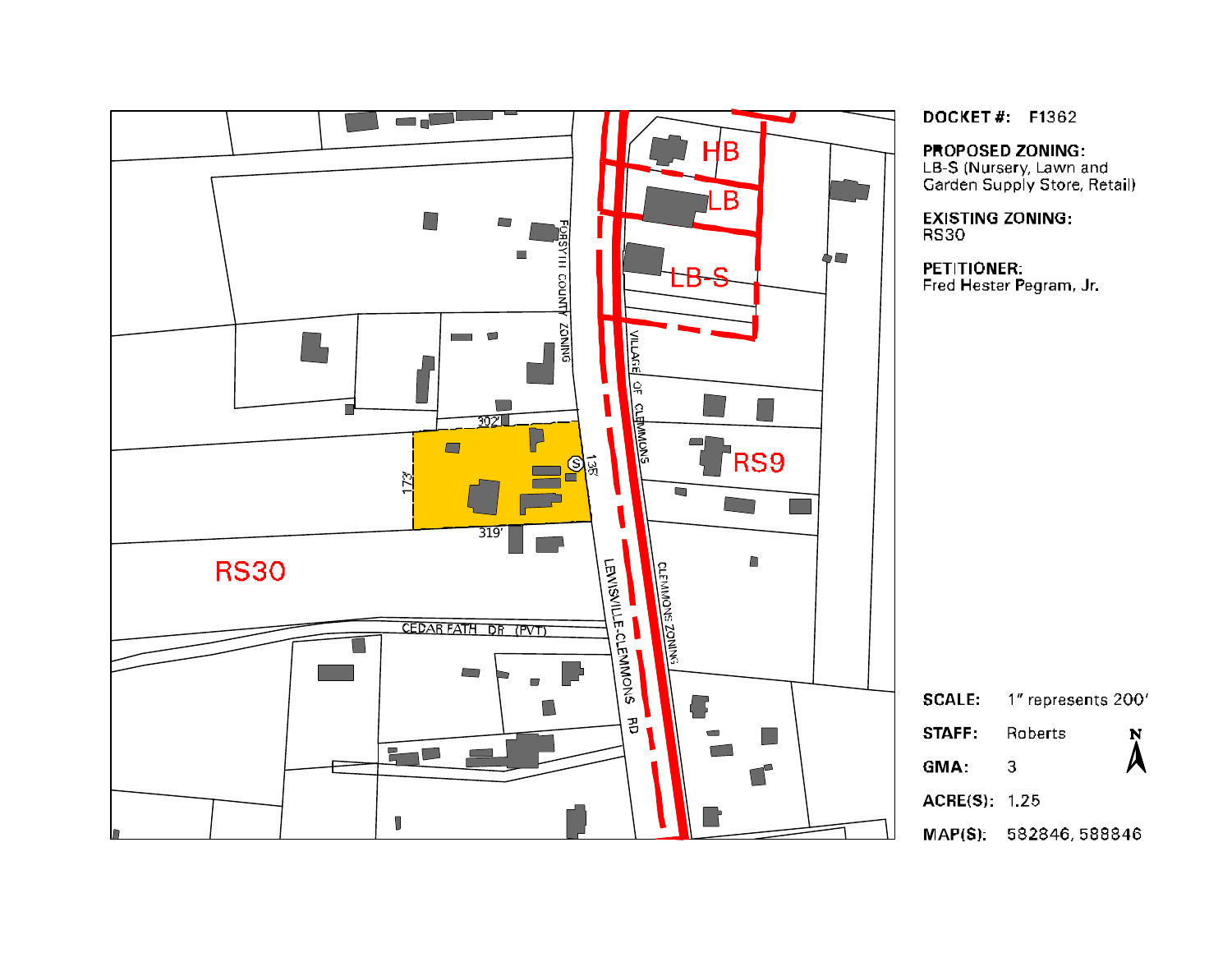

**DOCKET#: F1362** 

**PROPOSED ZONING:** 

LB-S (Nursery, Lawn and<br>Garden Supply Store, Retail)

**EXISTING ZONING: RS30** 

PETITIONER: Fred Hester Pegram, Jr.

1" represents 200' **SCALE:** STAFF: Roberts N  ${\cal A}$ GMA:  $\overline{3}$ **ACRE(S): 1.25** 

MAP(S): 582846, 588846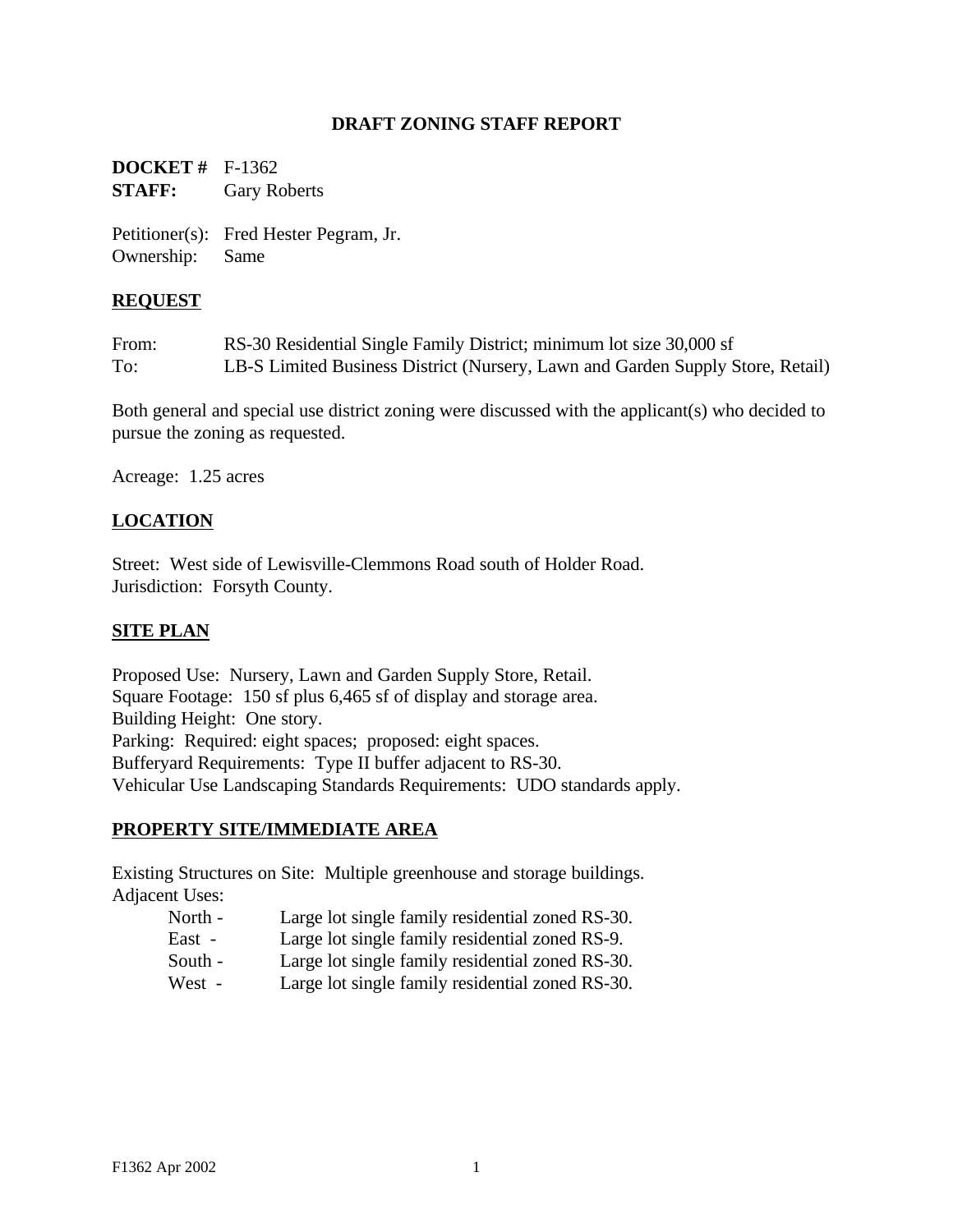## **DRAFT ZONING STAFF REPORT**

**DOCKET #** F-1362 **STAFF:** Gary Roberts

Petitioner(s): Fred Hester Pegram, Jr. Ownership: Same

## **REQUEST**

From: RS-30 Residential Single Family District; minimum lot size 30,000 sf To: LB-S Limited Business District (Nursery, Lawn and Garden Supply Store, Retail)

Both general and special use district zoning were discussed with the applicant(s) who decided to pursue the zoning as requested.

Acreage: 1.25 acres

## **LOCATION**

Street: West side of Lewisville-Clemmons Road south of Holder Road. Jurisdiction: Forsyth County.

## **SITE PLAN**

Proposed Use: Nursery, Lawn and Garden Supply Store, Retail. Square Footage: 150 sf plus 6,465 sf of display and storage area. Building Height: One story. Parking: Required: eight spaces; proposed: eight spaces. Bufferyard Requirements: Type II buffer adjacent to RS-30. Vehicular Use Landscaping Standards Requirements: UDO standards apply.

## **PROPERTY SITE/IMMEDIATE AREA**

Existing Structures on Site: Multiple greenhouse and storage buildings. Adjacent Uses:

- North Large lot single family residential zoned RS-30.
- East Large lot single family residential zoned RS-9.
- South Large lot single family residential zoned RS-30.
- West Large lot single family residential zoned RS-30.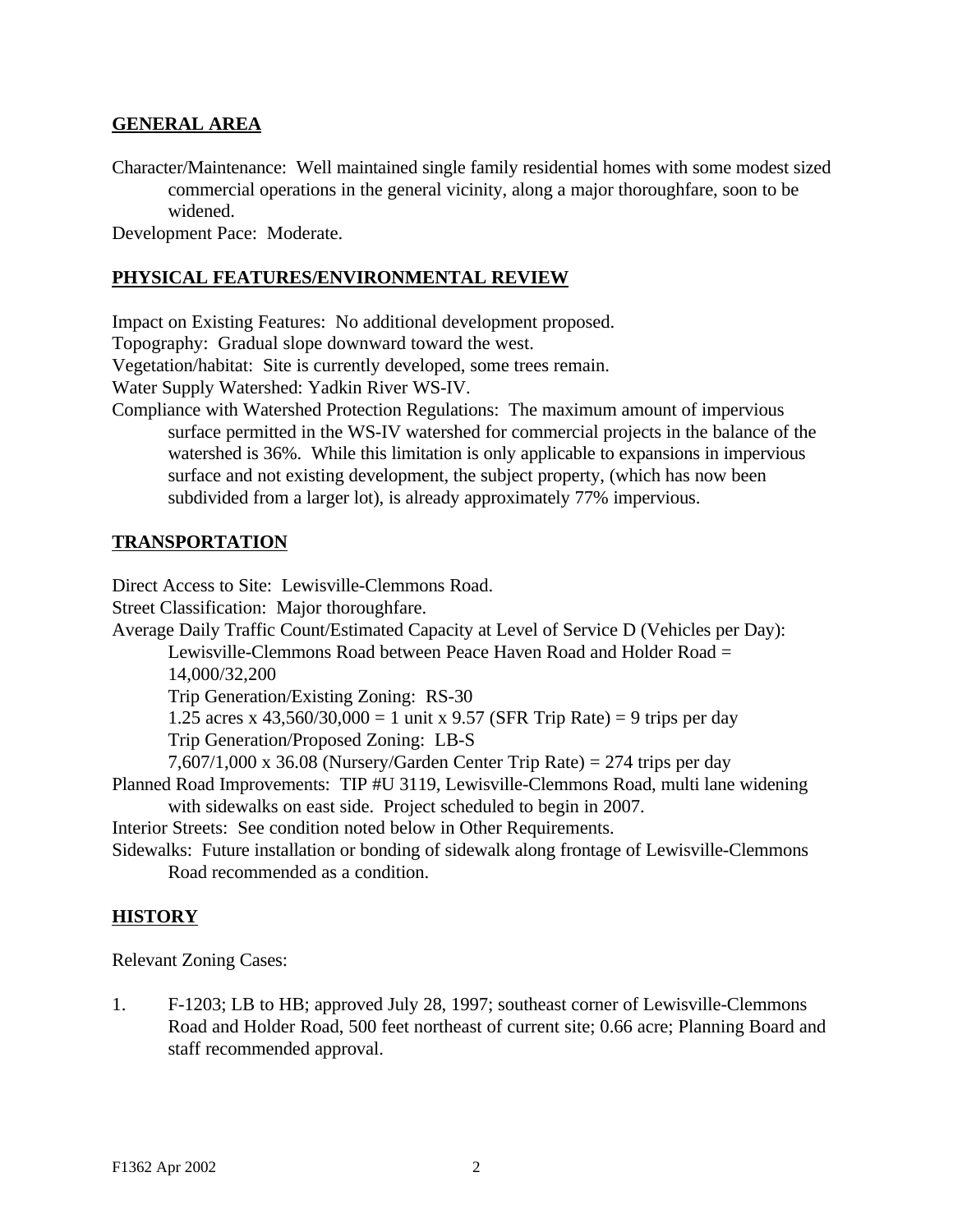## **GENERAL AREA**

Character/Maintenance: Well maintained single family residential homes with some modest sized commercial operations in the general vicinity, along a major thoroughfare, soon to be widened.

Development Pace: Moderate.

#### **PHYSICAL FEATURES/ENVIRONMENTAL REVIEW**

Impact on Existing Features: No additional development proposed.

Topography: Gradual slope downward toward the west.

Vegetation/habitat: Site is currently developed, some trees remain.

Water Supply Watershed: Yadkin River WS-IV.

Compliance with Watershed Protection Regulations: The maximum amount of impervious surface permitted in the WS-IV watershed for commercial projects in the balance of the watershed is 36%. While this limitation is only applicable to expansions in impervious surface and not existing development, the subject property, (which has now been subdivided from a larger lot), is already approximately 77% impervious.

## **TRANSPORTATION**

Direct Access to Site: Lewisville-Clemmons Road.

Street Classification: Major thoroughfare.

Average Daily Traffic Count/Estimated Capacity at Level of Service D (Vehicles per Day):

Lewisville-Clemmons Road between Peace Haven Road and Holder Road = 14,000/32,200

Trip Generation/Existing Zoning: RS-30

1.25 acres x  $43,560/30,000 = 1$  unit x 9.57 (SFR Trip Rate) = 9 trips per day Trip Generation/Proposed Zoning: LB-S

7,607/1,000 x 36.08 (Nursery/Garden Center Trip Rate) = 274 trips per day

Planned Road Improvements: TIP #U 3119, Lewisville-Clemmons Road, multi lane widening with sidewalks on east side. Project scheduled to begin in 2007.

Interior Streets: See condition noted below in Other Requirements.

Sidewalks: Future installation or bonding of sidewalk along frontage of Lewisville-Clemmons Road recommended as a condition.

## **HISTORY**

Relevant Zoning Cases:

1. F-1203; LB to HB; approved July 28, 1997; southeast corner of Lewisville-Clemmons Road and Holder Road, 500 feet northeast of current site; 0.66 acre; Planning Board and staff recommended approval.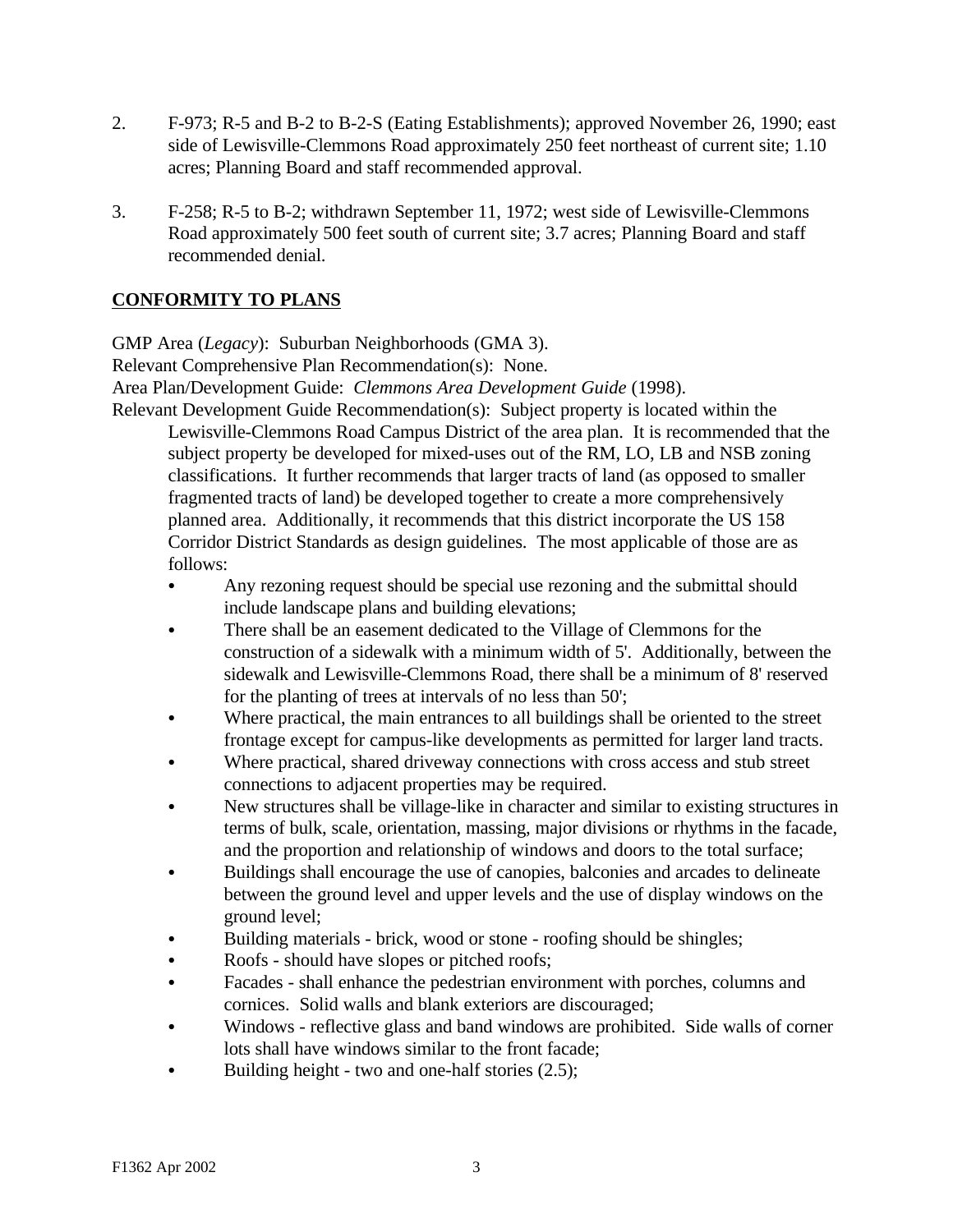- 2. F-973; R-5 and B-2 to B-2-S (Eating Establishments); approved November 26, 1990; east side of Lewisville-Clemmons Road approximately 250 feet northeast of current site; 1.10 acres; Planning Board and staff recommended approval.
- 3. F-258; R-5 to B-2; withdrawn September 11, 1972; west side of Lewisville-Clemmons Road approximately 500 feet south of current site; 3.7 acres; Planning Board and staff recommended denial.

# **CONFORMITY TO PLANS**

GMP Area (*Legacy*): Suburban Neighborhoods (GMA 3). Relevant Comprehensive Plan Recommendation(s): None. Area Plan/Development Guide: *Clemmons Area Development Guide* (1998). Relevant Development Guide Recommendation(s): Subject property is located within the

Lewisville-Clemmons Road Campus District of the area plan. It is recommended that the subject property be developed for mixed-uses out of the RM, LO, LB and NSB zoning classifications. It further recommends that larger tracts of land (as opposed to smaller fragmented tracts of land) be developed together to create a more comprehensively planned area. Additionally, it recommends that this district incorporate the US 158 Corridor District Standards as design guidelines. The most applicable of those are as follows:

- Any rezoning request should be special use rezoning and the submittal should include landscape plans and building elevations;
- There shall be an easement dedicated to the Village of Clemmons for the construction of a sidewalk with a minimum width of 5'. Additionally, between the sidewalk and Lewisville-Clemmons Road, there shall be a minimum of 8' reserved for the planting of trees at intervals of no less than 50';
- Where practical, the main entrances to all buildings shall be oriented to the street frontage except for campus-like developments as permitted for larger land tracts.
- Where practical, shared driveway connections with cross access and stub street connections to adjacent properties may be required.
- New structures shall be village-like in character and similar to existing structures in terms of bulk, scale, orientation, massing, major divisions or rhythms in the facade, and the proportion and relationship of windows and doors to the total surface;
- Buildings shall encourage the use of canopies, balconies and arcades to delineate between the ground level and upper levels and the use of display windows on the ground level;
- Building materials brick, wood or stone roofing should be shingles;
- Roofs should have slopes or pitched roofs;
- Facades shall enhance the pedestrian environment with porches, columns and cornices. Solid walls and blank exteriors are discouraged;
- Windows reflective glass and band windows are prohibited. Side walls of corner lots shall have windows similar to the front facade;
- Building height two and one-half stories  $(2.5)$ ;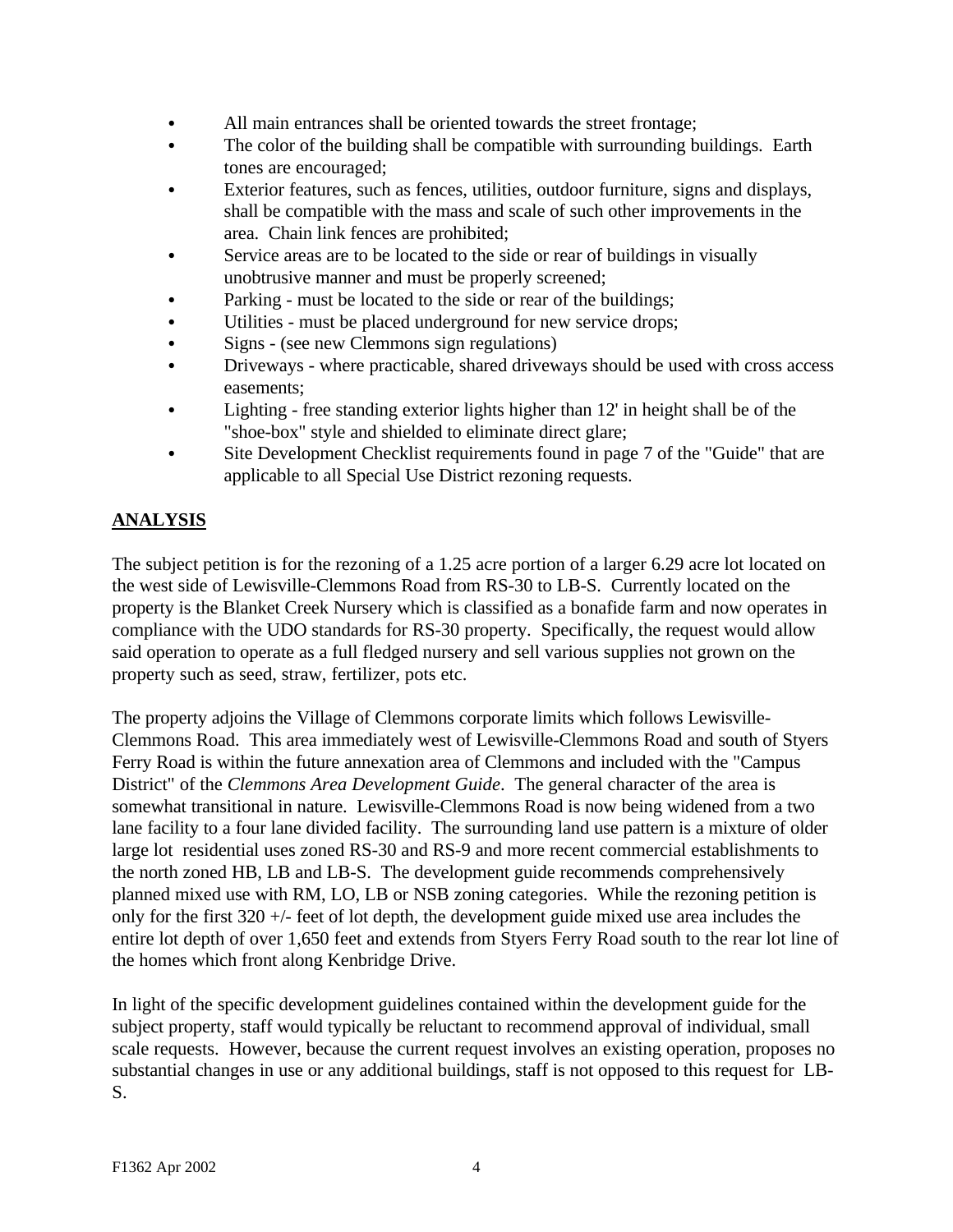- All main entrances shall be oriented towards the street frontage;
- The color of the building shall be compatible with surrounding buildings. Earth tones are encouraged;
- Exterior features, such as fences, utilities, outdoor furniture, signs and displays, shall be compatible with the mass and scale of such other improvements in the area. Chain link fences are prohibited;
- Service areas are to be located to the side or rear of buildings in visually unobtrusive manner and must be properly screened;
- Parking must be located to the side or rear of the buildings;
- Utilities must be placed underground for new service drops;
- Signs (see new Clemmons sign regulations)
- Driveways where practicable, shared driveways should be used with cross access easements;
- Lighting free standing exterior lights higher than 12' in height shall be of the "shoe-box" style and shielded to eliminate direct glare;
- Site Development Checklist requirements found in page 7 of the "Guide" that are applicable to all Special Use District rezoning requests.

# **ANALYSIS**

The subject petition is for the rezoning of a 1.25 acre portion of a larger 6.29 acre lot located on the west side of Lewisville-Clemmons Road from RS-30 to LB-S. Currently located on the property is the Blanket Creek Nursery which is classified as a bonafide farm and now operates in compliance with the UDO standards for RS-30 property. Specifically, the request would allow said operation to operate as a full fledged nursery and sell various supplies not grown on the property such as seed, straw, fertilizer, pots etc.

The property adjoins the Village of Clemmons corporate limits which follows Lewisville-Clemmons Road. This area immediately west of Lewisville-Clemmons Road and south of Styers Ferry Road is within the future annexation area of Clemmons and included with the "Campus District" of the *Clemmons Area Development Guide*. The general character of the area is somewhat transitional in nature. Lewisville-Clemmons Road is now being widened from a two lane facility to a four lane divided facility. The surrounding land use pattern is a mixture of older large lot residential uses zoned RS-30 and RS-9 and more recent commercial establishments to the north zoned HB, LB and LB-S. The development guide recommends comprehensively planned mixed use with RM, LO, LB or NSB zoning categories. While the rezoning petition is only for the first 320 +/- feet of lot depth, the development guide mixed use area includes the entire lot depth of over 1,650 feet and extends from Styers Ferry Road south to the rear lot line of the homes which front along Kenbridge Drive.

In light of the specific development guidelines contained within the development guide for the subject property, staff would typically be reluctant to recommend approval of individual, small scale requests. However, because the current request involves an existing operation, proposes no substantial changes in use or any additional buildings, staff is not opposed to this request for LB-S.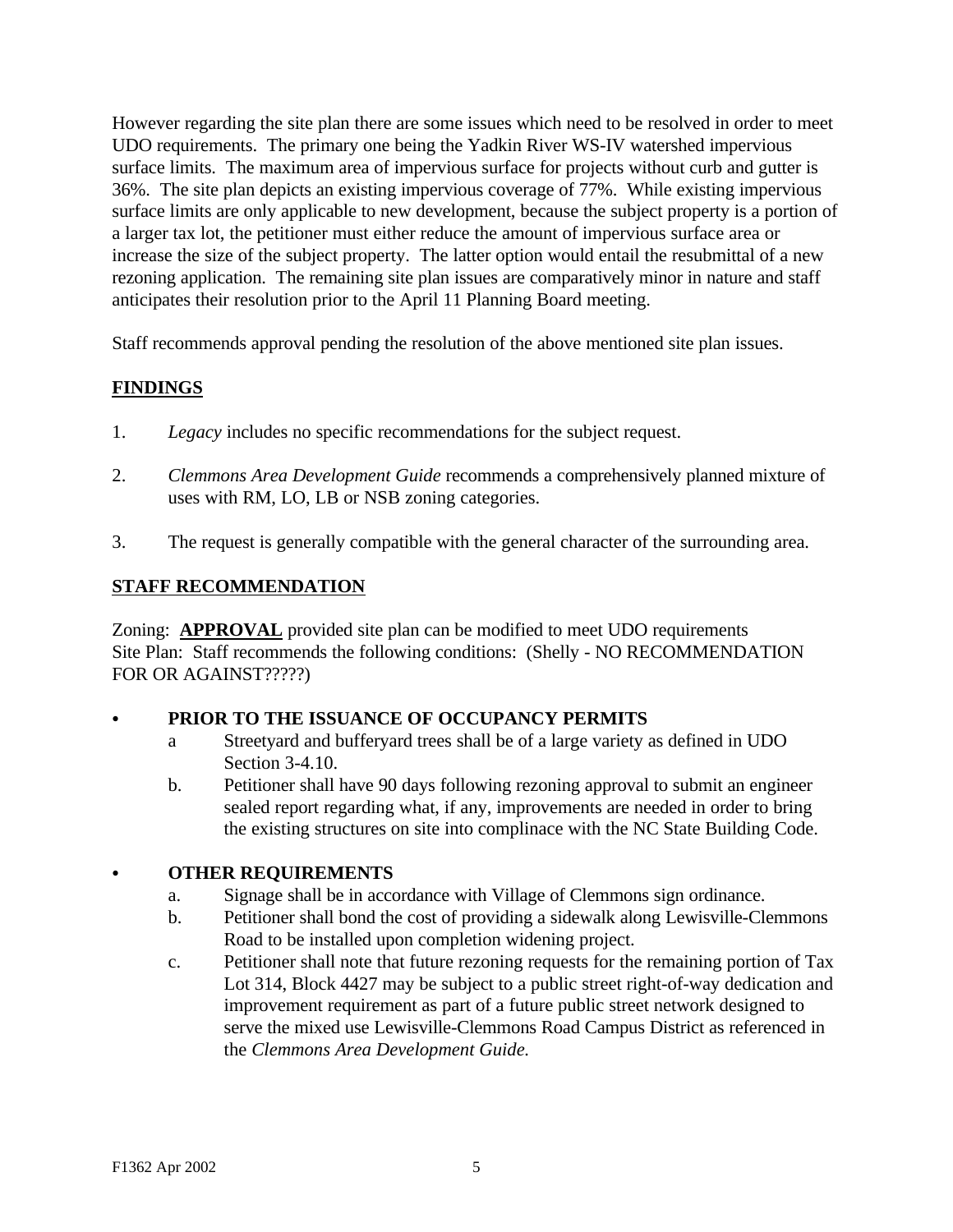However regarding the site plan there are some issues which need to be resolved in order to meet UDO requirements. The primary one being the Yadkin River WS-IV watershed impervious surface limits. The maximum area of impervious surface for projects without curb and gutter is 36%. The site plan depicts an existing impervious coverage of 77%. While existing impervious surface limits are only applicable to new development, because the subject property is a portion of a larger tax lot, the petitioner must either reduce the amount of impervious surface area or increase the size of the subject property. The latter option would entail the resubmittal of a new rezoning application. The remaining site plan issues are comparatively minor in nature and staff anticipates their resolution prior to the April 11 Planning Board meeting.

Staff recommends approval pending the resolution of the above mentioned site plan issues.

# **FINDINGS**

- 1. *Legacy* includes no specific recommendations for the subject request.
- 2. *Clemmons Area Development Guide* recommends a comprehensively planned mixture of uses with RM, LO, LB or NSB zoning categories.
- 3. The request is generally compatible with the general character of the surrounding area.

## **STAFF RECOMMENDATION**

Zoning: **APPROVAL** provided site plan can be modified to meet UDO requirements Site Plan: Staff recommends the following conditions: (Shelly - NO RECOMMENDATION FOR OR AGAINST?????)

## PRIOR TO THE ISSUANCE OF OCCUPANCY PERMITS

- a Streetyard and bufferyard trees shall be of a large variety as defined in UDO Section 3-4.10.
- b. Petitioner shall have 90 days following rezoning approval to submit an engineer sealed report regarding what, if any, improvements are needed in order to bring the existing structures on site into complinace with the NC State Building Code.

## C **OTHER REQUIREMENTS**

- a. Signage shall be in accordance with Village of Clemmons sign ordinance.
- b. Petitioner shall bond the cost of providing a sidewalk along Lewisville-Clemmons Road to be installed upon completion widening project.
- c. Petitioner shall note that future rezoning requests for the remaining portion of Tax Lot 314, Block 4427 may be subject to a public street right-of-way dedication and improvement requirement as part of a future public street network designed to serve the mixed use Lewisville-Clemmons Road Campus District as referenced in the *Clemmons Area Development Guide.*